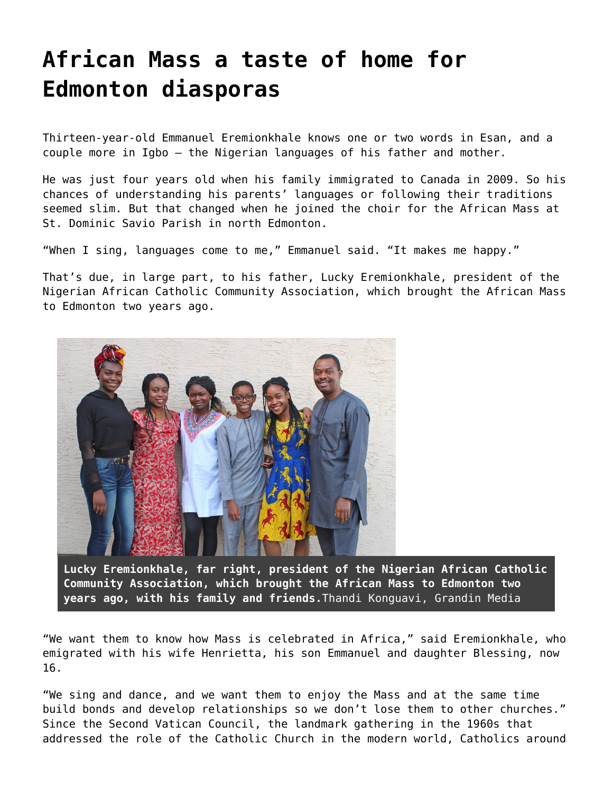## **[African Mass a taste of home for](https://grandinmedia.ca/african-mass-taste-home-edmonton-diasporas/) [Edmonton diasporas](https://grandinmedia.ca/african-mass-taste-home-edmonton-diasporas/)**

Thirteen-year-old Emmanuel Eremionkhale knows one or two words in Esan, and a couple more in Igbo – the Nigerian languages of his father and mother.

He was just four years old when his family immigrated to Canada in 2009. So his chances of understanding his parents' languages or following their traditions seemed slim. But that changed when he joined the choir for the African Mass at St. Dominic Savio Parish in north Edmonton.

"When I sing, languages come to me," Emmanuel said. "It makes me happy."

That's due, in large part, to his father, Lucky Eremionkhale, president of the Nigerian African Catholic Community Association, which brought the African Mass to Edmonton two years ago.



**Lucky Eremionkhale, far right, president of the Nigerian African Catholic Community Association, which brought the African Mass to Edmonton two years ago, with his family and friends.**Thandi Konguavi, Grandin Media

"We want them to know how Mass is celebrated in Africa," said Eremionkhale, who emigrated with his wife Henrietta, his son Emmanuel and daughter Blessing, now 16.

"We sing and dance, and we want them to enjoy the Mass and at the same time build bonds and develop relationships so we don't lose them to other churches." Since the Second Vatican Council, the landmark gathering in the 1960s that addressed the role of the Catholic Church in the modern world, Catholics around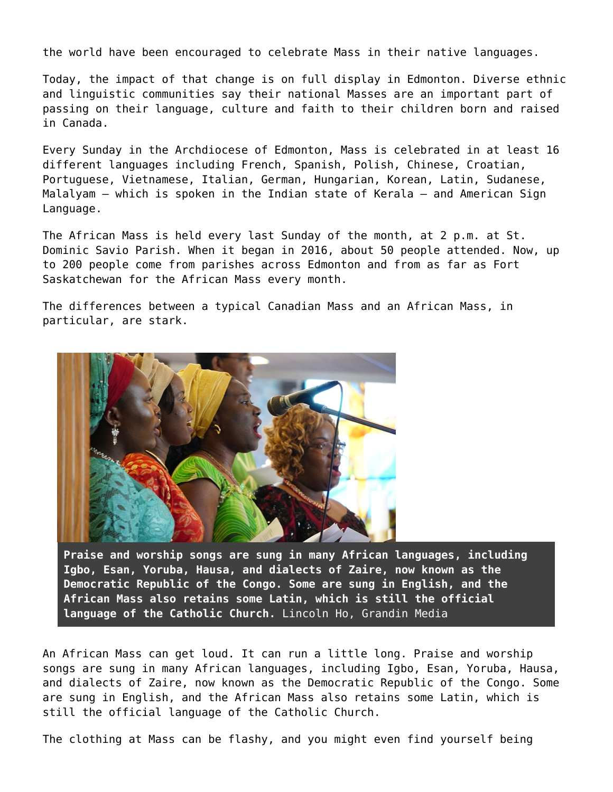the world have been encouraged to celebrate Mass in their native languages.

Today, the impact of that change is on full display in Edmonton. Diverse ethnic and linguistic communities say their national Masses are an important part of passing on their language, culture and faith to their children born and raised in Canada.

Every Sunday in the Archdiocese of Edmonton, Mass is celebrated in at least 16 different languages including French, Spanish, Polish, Chinese, Croatian, Portuguese, Vietnamese, Italian, German, Hungarian, Korean, Latin, Sudanese, Malalyam – which is spoken in the Indian state of Kerala – and American Sign Language.

The African Mass is held every last Sunday of the month, at 2 p.m. at St. Dominic Savio Parish. When it began in 2016, about 50 people attended. Now, up to 200 people come from parishes across Edmonton and from as far as Fort Saskatchewan for the African Mass every month.

The differences between a typical Canadian Mass and an African Mass, in particular, are stark.



**Praise and worship songs are sung in many African languages, including Igbo, Esan, Yoruba, Hausa, and dialects of Zaire, now known as the Democratic Republic of the Congo. Some are sung in English, and the African Mass also retains some Latin, which is still the official language of the Catholic Church.** Lincoln Ho, Grandin Media

An African Mass can get loud. It can run a little long. Praise and worship songs are sung in many African languages, including Igbo, Esan, Yoruba, Hausa, and dialects of Zaire, now known as the Democratic Republic of the Congo. Some are sung in English, and the African Mass also retains some Latin, which is still the official language of the Catholic Church.

The clothing at Mass can be flashy, and you might even find yourself being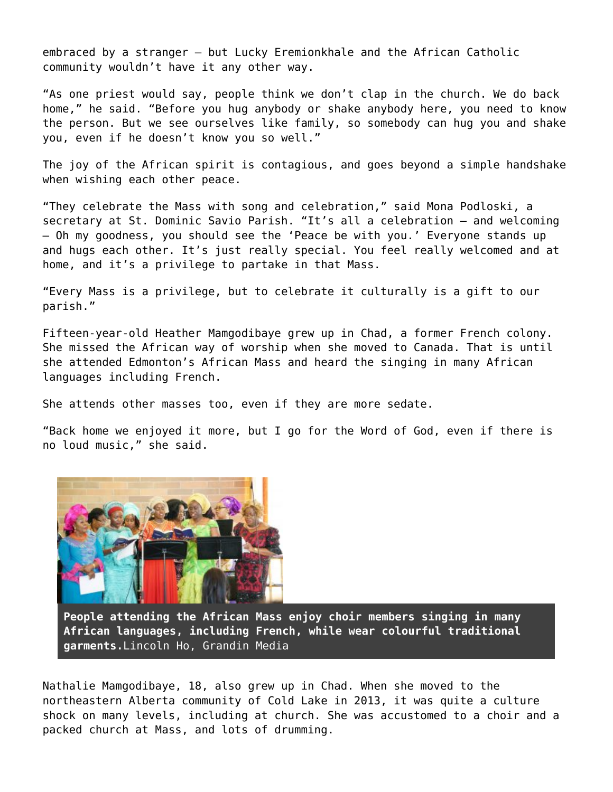embraced by a stranger — but Lucky Eremionkhale and the African Catholic community wouldn't have it any other way.

"As one priest would say, people think we don't clap in the church. We do back home," he said. "Before you hug anybody or shake anybody here, you need to know the person. But we see ourselves like family, so somebody can hug you and shake you, even if he doesn't know you so well."

The joy of the African spirit is contagious, and goes beyond a simple handshake when wishing each other peace.

"They celebrate the Mass with song and celebration," said Mona Podloski, a secretary at St. Dominic Savio Parish. "It's all a celebration — and welcoming — Oh my goodness, you should see the 'Peace be with you.' Everyone stands up and hugs each other. It's just really special. You feel really welcomed and at home, and it's a privilege to partake in that Mass.

"Every Mass is a privilege, but to celebrate it culturally is a gift to our parish."

Fifteen-year-old Heather Mamgodibaye grew up in Chad, a former French colony. She missed the African way of worship when she moved to Canada. That is until she attended Edmonton's African Mass and heard the singing in many African languages including French.

She attends other masses too, even if they are more sedate.

"Back home we enjoyed it more, but I go for the Word of God, even if there is no loud music," she said.



**People attending the African Mass enjoy choir members singing in many African languages, including French, while wear colourful traditional garments.**Lincoln Ho, Grandin Media

Nathalie Mamgodibaye, 18, also grew up in Chad. When she moved to the northeastern Alberta community of Cold Lake in 2013, it was quite a culture shock on many levels, including at church. She was accustomed to a choir and a packed church at Mass, and lots of drumming.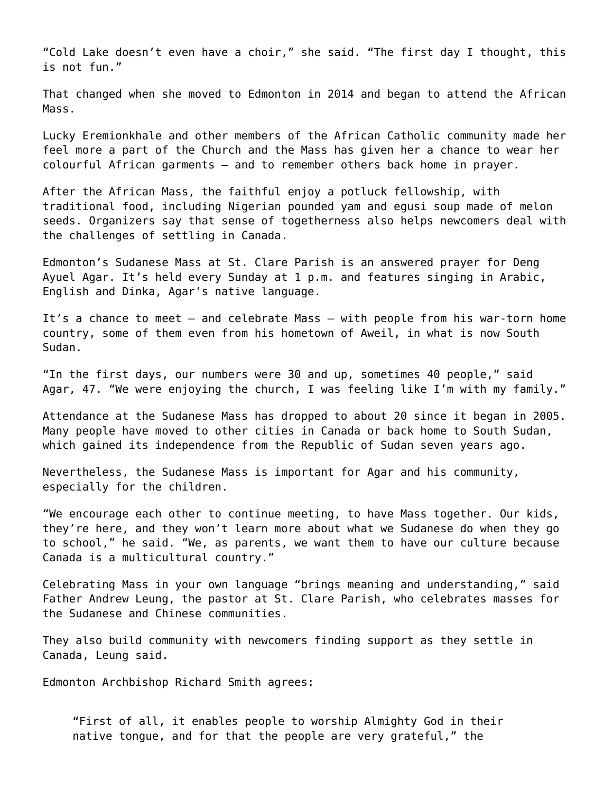"Cold Lake doesn't even have a choir," she said. "The first day I thought, this is not fun."

That changed when she moved to Edmonton in 2014 and began to attend the African Mass.

Lucky Eremionkhale and other members of the African Catholic community made her feel more a part of the Church and the Mass has given her a chance to wear her colourful African garments — and to remember others back home in prayer.

After the African Mass, the faithful enjoy a potluck fellowship, with traditional food, including Nigerian pounded yam and egusi soup made of melon seeds. Organizers say that sense of togetherness also helps newcomers deal with the challenges of settling in Canada.

Edmonton's Sudanese Mass at St. Clare Parish is an answered prayer for Deng Ayuel Agar. It's held every Sunday at 1 p.m. and features singing in Arabic, English and Dinka, Agar's native language.

It's a chance to meet – and celebrate Mass – with people from his war-torn home country, some of them even from his hometown of Aweil, in what is now South Sudan.

"In the first days, our numbers were 30 and up, sometimes 40 people," said Agar, 47. "We were enjoying the church, I was feeling like I'm with my family."

Attendance at the Sudanese Mass has dropped to about 20 since it began in 2005. Many people have moved to other cities in Canada or back home to South Sudan, which gained its independence from the Republic of Sudan seven years ago.

Nevertheless, the Sudanese Mass is important for Agar and his community, especially for the children.

"We encourage each other to continue meeting, to have Mass together. Our kids, they're here, and they won't learn more about what we Sudanese do when they go to school," he said. "We, as parents, we want them to have our culture because Canada is a multicultural country."

Celebrating Mass in your own language "brings meaning and understanding," said Father Andrew Leung, the pastor at St. Clare Parish, who celebrates masses for the Sudanese and Chinese communities.

They also build community with newcomers finding support as they settle in Canada, Leung said.

Edmonton Archbishop Richard Smith agrees:

"First of all, it enables people to worship Almighty God in their native tongue, and for that the people are very grateful," the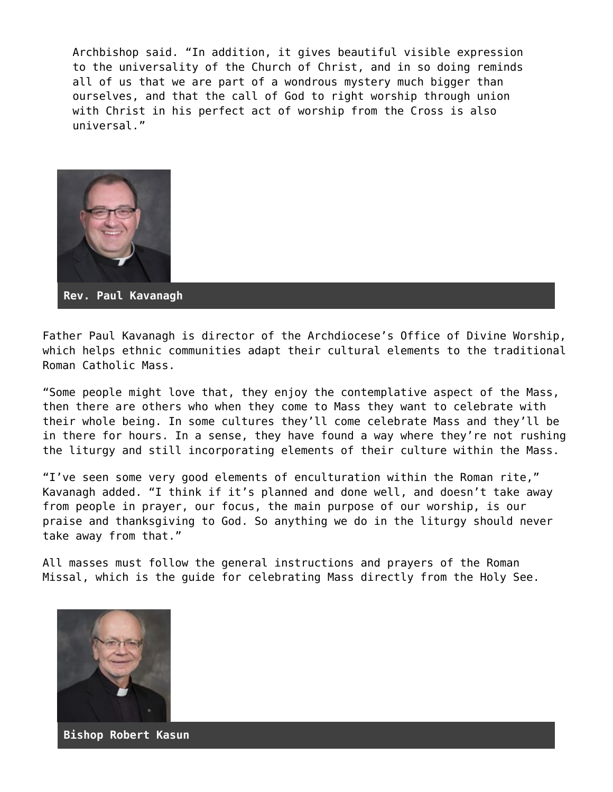Archbishop said. "In addition, it gives beautiful visible expression to the universality of the Church of Christ, and in so doing reminds all of us that we are part of a wondrous mystery much bigger than ourselves, and that the call of God to right worship through union with Christ in his perfect act of worship from the Cross is also universal."



**Rev. Paul Kavanagh**

Father Paul Kavanagh is director of the Archdiocese's Office of Divine Worship, which helps ethnic communities adapt their cultural elements to the traditional Roman Catholic Mass.

"Some people might love that, they enjoy the contemplative aspect of the Mass, then there are others who when they come to Mass they want to celebrate with their whole being. In some cultures they'll come celebrate Mass and they'll be in there for hours. In a sense, they have found a way where they're not rushing the liturgy and still incorporating elements of their culture within the Mass.

"I've seen some very good elements of enculturation within the Roman rite," Kavanagh added. "I think if it's planned and done well, and doesn't take away from people in prayer, our focus, the main purpose of our worship, is our praise and thanksgiving to God. So anything we do in the liturgy should never take away from that."

All masses must follow the general instructions and prayers of the Roman Missal, which is the guide for celebrating Mass directly from the Holy See.



**Bishop Robert Kasun**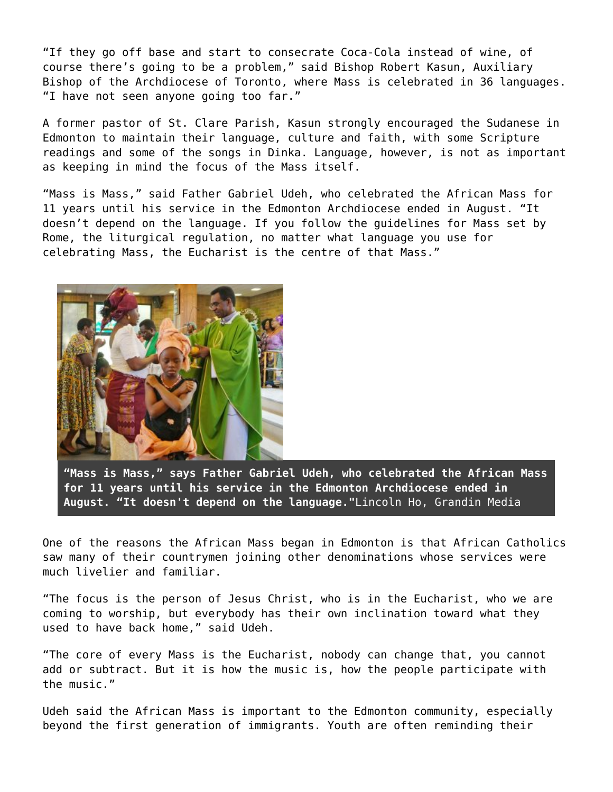"If they go off base and start to consecrate Coca-Cola instead of wine, of course there's going to be a problem," said Bishop Robert Kasun, Auxiliary Bishop of the Archdiocese of Toronto, where Mass is celebrated in 36 languages. "I have not seen anyone going too far."

A former pastor of St. Clare Parish, Kasun strongly encouraged the Sudanese in Edmonton to maintain their language, culture and faith, with some Scripture readings and some of the songs in Dinka. Language, however, is not as important as keeping in mind the focus of the Mass itself.

"Mass is Mass," said Father Gabriel Udeh, who celebrated the African Mass for 11 years until his service in the Edmonton Archdiocese ended in August. "It doesn't depend on the language. If you follow the guidelines for Mass set by Rome, the liturgical regulation, no matter what language you use for celebrating Mass, the Eucharist is the centre of that Mass."



**"Mass is Mass," says Father Gabriel Udeh, who celebrated the African Mass for 11 years until his service in the Edmonton Archdiocese ended in August. "It doesn't depend on the language."**Lincoln Ho, Grandin Media

One of the reasons the African Mass began in Edmonton is that African Catholics saw many of their countrymen joining other denominations whose services were much livelier and familiar.

"The focus is the person of Jesus Christ, who is in the Eucharist, who we are coming to worship, but everybody has their own inclination toward what they used to have back home," said Udeh.

"The core of every Mass is the Eucharist, nobody can change that, you cannot add or subtract. But it is how the music is, how the people participate with the music."

Udeh said the African Mass is important to the Edmonton community, especially beyond the first generation of immigrants. Youth are often reminding their